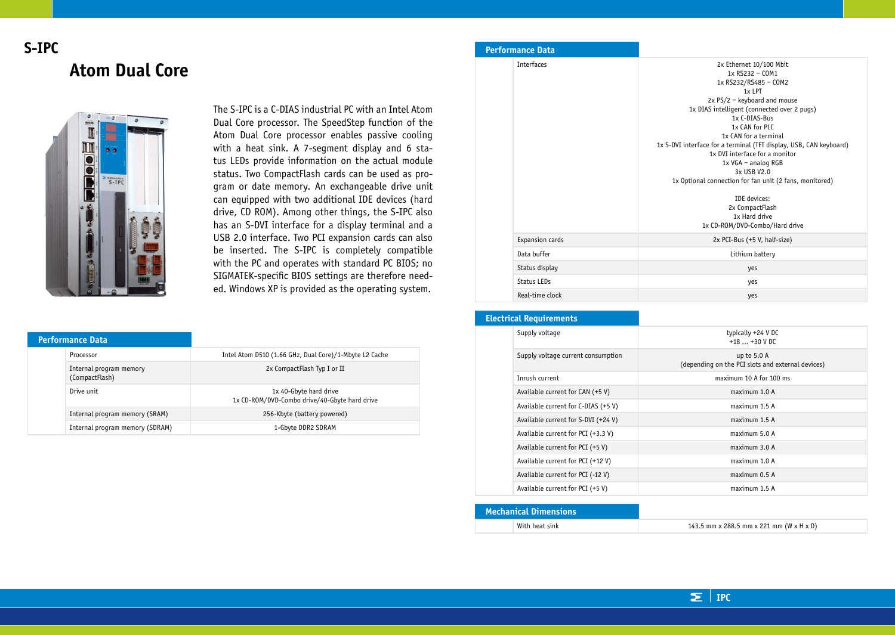# **S-IPC Atom Dual Core**



The S-IPC is a C-DIAS industrial PC with an Intel Atom Dual Core processor. The SpeedStep function of the Atom Dual Core processor enables passive cooling with a heat sink. A 7-segment display and 6 status LEDs provide information on the actual module status. Two CompactFlash cards can be used as program or date memory. An exchangeable drive unit can equipped with two additional IDE devices (hard drive, CD ROM). Among other things, the S-IPC also has an S-DVI interface for a display terminal and a USB 2.0 interface. Two PCI expansion cards can also be inserted. The S-IPC is completely compatible with the PC and operates with standard PC BIOS; no SIGMATEK-specific BIOS settings are therefore needed. Windows XP is provided as the operating system.

| <b>Performance Data</b> |                                           |                                                                         |
|-------------------------|-------------------------------------------|-------------------------------------------------------------------------|
|                         | Processor                                 | Intel Atom D510 (1.66 GHz, Dual Core)/1-Mbyte L2 Cache                  |
|                         | Internal program memory<br>(CompactFlash) | 2x CompactFlash Typ I or II                                             |
|                         | Drive unit                                | 1x 40-Gbyte hard drive<br>1x CD-ROM/DVD-Combo drive/40-Gbyte hard drive |
|                         | Internal program memory (SRAM)            | 256-Kbyte (battery powered)                                             |
|                         | Internal program memory (SDRAM)           | 1-Gbyte DDR2 SDRAM                                                      |

#### **Performance Data** Interfaces 2x Ethernet 10/100 Mbit 1x RS232 – COM1 1x RS232/RS485 – COM2  $1x$  LPT 2x PS/2 – keyboard and mouse 1x DIAS intelligent (connected over 2 pugs) 1x C-DIAS-Bus 1x CAN for PLC 1x CAN for a terminal 1x S-DVI interface for a terminal (TFT display, USB, CAN keyboard) 1x DVI interface for a monitor 1x VGA – analog RGB 3x USB V2.0 1x Optional connection for fan unit (2 fans, monitored) IDE devices: 2x CompactFlash 1x Hard drive 1x CD-ROM/DVD-Combo/Hard drive Expansion cards 2x PCI-Bus (+5 V, half-size) Data buffer **Lithium battery** Status display yes Status LEDs yes Real-time clock yes

### **Electrical Requirements**

|  | cu iddi Reguliements                |                                                                  |  |
|--|-------------------------------------|------------------------------------------------------------------|--|
|  | Supply voltage                      | typically +24 V DC<br>$+18+30$ V DC                              |  |
|  | Supply voltage current consumption  | up to 5.0 A<br>(depending on the PCI slots and external devices) |  |
|  | Inrush current                      | maximum 10 A for 100 ms                                          |  |
|  | Available current for CAN (+5 V)    | maximum 1.0 A                                                    |  |
|  | Available current for C-DIAS (+5 V) | maximum 1.5 A                                                    |  |
|  | Available current for S-DVI (+24 V) | maximum 1.5 A                                                    |  |
|  | Available current for PCI (+3.3 V)  | maximum 5.0 A                                                    |  |
|  | Available current for PCI (+5 V)    | $maximum$ 3.0 A                                                  |  |
|  | Available current for PCI (+12 V)   | maximum 1.0 A                                                    |  |
|  | Available current for PCI (-12 V)   | $maximum$ 0.5 A                                                  |  |
|  | Available current for PCI (+5 V)    | maximum 1.5 A                                                    |  |
|  |                                     |                                                                  |  |

| <b>Mechanical Dimensions</b> |                |                                          |
|------------------------------|----------------|------------------------------------------|
|                              | With heat sink | 143.5 mm x 288.5 mm x 221 mm (W x H x D) |